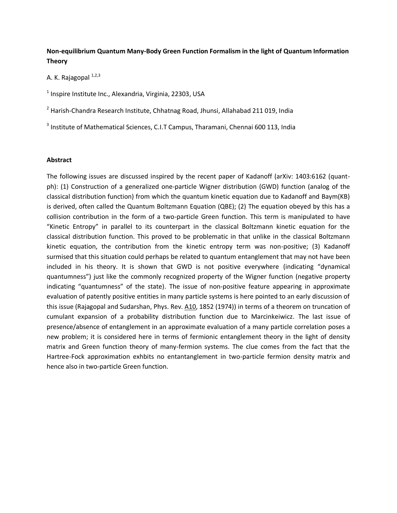# **Non-equilibrium Quantum Many-Body Green Function Formalism in the light of Quantum Information Theory**

A. K. Rajagopal  $^{1,2,3}$ 

 $<sup>1</sup>$  Inspire Institute Inc., Alexandria, Virginia, 22303, USA</sup>

<sup>2</sup> Harish-Chandra Research Institute, Chhatnag Road, Jhunsi, Allahabad 211 019, India

 $3$  Institute of Mathematical Sciences, C.I.T Campus, Tharamani, Chennai 600 113, India

## **Abstract**

The following issues are discussed inspired by the recent paper of Kadanoff (arXiv: 1403:6162 (quantph): (1) Construction of a generalized one-particle Wigner distribution (GWD) function (analog of the classical distribution function) from which the quantum kinetic equation due to Kadanoff and Baym(KB) is derived, often called the Quantum Boltzmann Equation (QBE); (2) The equation obeyed by this has a collision contribution in the form of a two-particle Green function. This term is manipulated to have "Kinetic Entropy" in parallel to its counterpart in the classical Boltzmann kinetic equation for the classical distribution function. This proved to be problematic in that unlike in the classical Boltzmann kinetic equation, the contribution from the kinetic entropy term was non-positive; (3) Kadanoff surmised that this situation could perhaps be related to quantum entanglement that may not have been included in his theory. It is shown that GWD is not positive everywhere (indicating "dynamical quantumness") just like the commonly recognized property of the Wigner function (negative property indicating "quantumness" of the state). The issue of non-positive feature appearing in approximate evaluation of patently positive entities in many particle systems is here pointed to an early discussion of this issue (Rajagopal and Sudarshan, Phys. Rev. A10, 1852 (1974)) in terms of a theorem on truncation of cumulant expansion of a probability distribution function due to Marcinkeiwicz. The last issue of presence/absence of entanglement in an approximate evaluation of a many particle correlation poses a new problem; it is considered here in terms of fermionic entanglement theory in the light of density matrix and Green function theory of many-fermion systems. The clue comes from the fact that the Hartree-Fock approximation exhbits no entantanglement in two-particle fermion density matrix and hence also in two-particle Green function.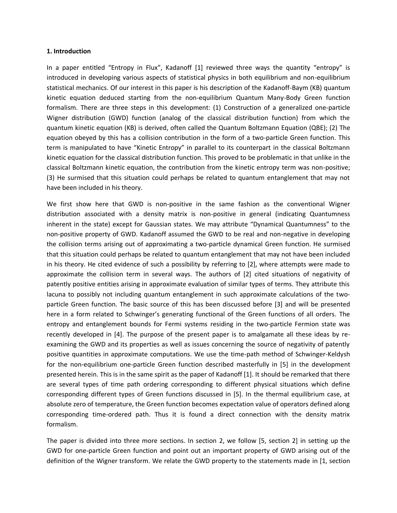#### **1. Introduction**

In a paper entitled "Entropy in Flux", Kadanoff [1] reviewed three ways the quantity "entropy" is introduced in developing various aspects of statistical physics in both equilibrium and non-equilibrium statistical mechanics. Of our interest in this paper is his description of the Kadanoff-Baym (KB) quantum kinetic equation deduced starting from the non-equilibrium Quantum Many-Body Green function formalism. There are three steps in this development: (1) Construction of a generalized one-particle Wigner distribution (GWD) function (analog of the classical distribution function) from which the quantum kinetic equation (KB) is derived, often called the Quantum Boltzmann Equation (QBE); (2) The equation obeyed by this has a collision contribution in the form of a two-particle Green function. This term is manipulated to have "Kinetic Entropy" in parallel to its counterpart in the classical Boltzmann kinetic equation for the classical distribution function. This proved to be problematic in that unlike in the classical Boltzmann kinetic equation, the contribution from the kinetic entropy term was non-positive; (3) He surmised that this situation could perhaps be related to quantum entanglement that may not have been included in his theory.

We first show here that GWD is non-positive in the same fashion as the conventional Wigner distribution associated with a density matrix is non-positive in general (indicating Quantumness inherent in the state) except for Gaussian states. We may attribute "Dynamical Quantumness" to the non-positive property of GWD. Kadanoff assumed the GWD to be real and non-negative in developing the collision terms arising out of approximating a two-particle dynamical Green function. He surmised that this situation could perhaps be related to quantum entanglement that may not have been included in his theory. He cited evidence of such a possibility by referring to [2], where attempts were made to approximate the collision term in several ways. The authors of [2] cited situations of negativity of patently positive entities arising in approximate evaluation of similar types of terms. They attribute this lacuna to possibly not including quantum entanglement in such approximate calculations of the twoparticle Green function. The basic source of this has been discussed before [3] and will be presented here in a form related to Schwinger's generating functional of the Green functions of all orders. The entropy and entanglement bounds for Fermi systems residing in the two-particle Fermion state was recently developed in [4]. The purpose of the present paper is to amalgamate all these ideas by reexamining the GWD and its properties as well as issues concerning the source of negativity of patently positive quantities in approximate computations. We use the time-path method of Schwinger-Keldysh for the non-equilibrium one-particle Green function described masterfully in [5] in the development presented herein. This is in the same spirit as the paper of Kadanoff [1]. It should be remarked that there are several types of time path ordering corresponding to different physical situations which define corresponding different types of Green functions discussed in [5]. In the thermal equilibrium case, at absolute zero of temperature, the Green function becomes expectation value of operators defined along corresponding time-ordered path. Thus it is found a direct connection with the density matrix formalism.

The paper is divided into three more sections. In section 2, we follow [5, section 2] in setting up the GWD for one-particle Green function and point out an important property of GWD arising out of the definition of the Wigner transform. We relate the GWD property to the statements made in [1, section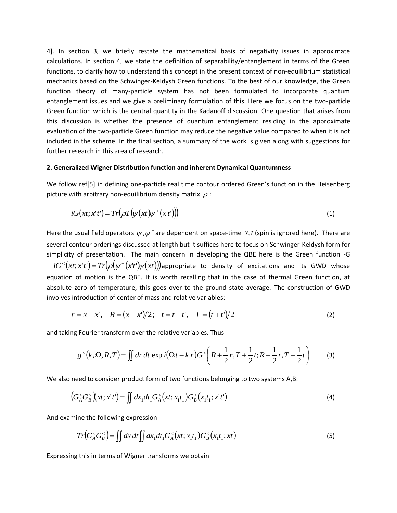4]. In section 3, we briefly restate the mathematical basis of negativity issues in approximate calculations. In section 4, we state the definition of separability/entanglement in terms of the Green functions, to clarify how to understand this concept in the present context of non-equilibrium statistical mechanics based on the Schwinger-Keldysh Green functions. To the best of our knowledge, the Green function theory of many-particle system has not been formulated to incorporate quantum entanglement issues and we give a preliminary formulation of this. Here we focus on the two-particle Green function which is the central quantity in the Kadanoff discussion. One question that arises from this discussion is whether the presence of quantum entanglement residing in the approximate evaluation of the two-particle Green function may reduce the negative value compared to when it is not included in the scheme. In the final section, a summary of the work is given along with suggestions for further research in this area of research.

## **2. Generalized Wigner Distribution function and inherent Dynamical Quantumness**

We follow ref[5] in defining one-particle real time contour ordered Green's function in the Heisenberg picture with arbitrary non-equilibrium density matrix  $\rho$  :

$$
iG\big(xt;x't'\big) = Tr\big(\rho T\big(\psi\big(xt\big)\psi^+\big(x't'\big)\big)\big) \tag{1}
$$

Here the usual field operators  $\psi, \psi^+$  are dependent on space-time  $x, t$  (spin is ignored here). There are several contour orderings discussed at length but it suffices here to focus on Schwinger-Keldysh form for simplicity of presentation. The main concern in developing the QBE here is the Green function -G  $- iG<sup>lt</sup>(xt; x't') = Tr(\rho(\psi<sup>rt</sup>(x't')\psi(xt)))$ appropriate to density of excitations and its GWD whose equation of motion is the QBE. It is worth recalling that in the case of thermal Green function, at absolute zero of temperature, this goes over to the ground state average. The construction of GWD involves introduction of center of mass and relative variables:

$$
r = x - x', \quad R = (x + x')/2; \quad t = t - t', \quad T = (t + t')/2
$$
 (2)

and taking Fourier transform over the relative variables. Thus

$$
g^{(k)}(k,\Omega,R,T) = \iint dr \, dt \, \exp\,i\big(\Omega t - k\,r\big)G^{(k)}\bigg(R + \frac{1}{2}r, T + \frac{1}{2}t; R - \frac{1}{2}r, T - \frac{1}{2}t\bigg) \tag{3}
$$

We also need to consider product form of two functions belonging to two systems A,B:

$$
(G_A^< G_B^<)(xt; x't') = \iint dx_1 dt_1 G_A^< (xt; x_1t_1) G_B^< (x_1t_1; x't')
$$
 (4)

And examine the following expression

$$
Tr\big(G_A^\big)=\iint dx\,dt\iint dx_1dt_1G_A^<\big(xt;x_1t_1\big)G_B^<\big(x_1t_1;xt\big)
$$
\n(5)

Expressing this in terms of Wigner transforms we obtain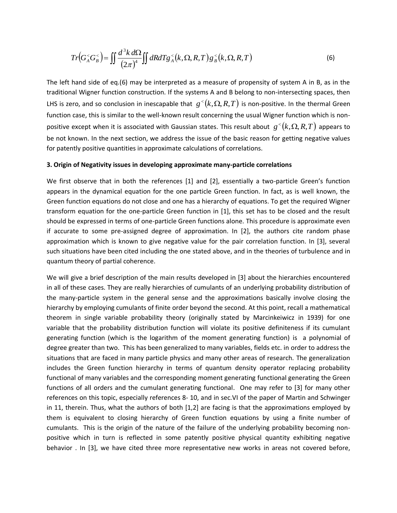$$
Tr\left(G_A^< G_B^>\right) = \iint \frac{d^3k \, d\Omega}{\left(2\pi\right)^4} \iint dR dT g_A^<\left(k, \Omega, R, T\right) g_B^<\left(k, \Omega, R, T\right) \tag{6}
$$

The left hand side of eq.(6) may be interpreted as a measure of propensity of system A in B, as in the traditional Wigner function construction. If the systems A and B belong to non-intersecting spaces, then LHS is zero, and so conclusion in inescapable that  $g^{<}(k, \Omega, R, T)$  is non-positive. In the thermal Green function case, this is similar to the well-known result concerning the usual Wigner function which is nonpositive except when it is associated with Gaussian states. This result about  $g^{<}(k, \Omega, R, T)$  appears to be not known. In the next section, we address the issue of the basic reason for getting negative values for patently positive quantities in approximate calculations of correlations.

#### **3. Origin of Negativity issues in developing approximate many-particle correlations**

We first observe that in both the references [1] and [2], essentially a two-particle Green's function appears in the dynamical equation for the one particle Green function. In fact, as is well known, the Green function equations do not close and one has a hierarchy of equations. To get the required Wigner transform equation for the one-particle Green function in [1], this set has to be closed and the result should be expressed in terms of one-particle Green functions alone. This procedure is approximate even if accurate to some pre-assigned degree of approximation. In [2], the authors cite random phase approximation which is known to give negative value for the pair correlation function. In [3], several such situations have been cited including the one stated above, and in the theories of turbulence and in quantum theory of partial coherence.

We will give a brief description of the main results developed in [3] about the hierarchies encountered in all of these cases. They are really hierarchies of cumulants of an underlying probability distribution of the many-particle system in the general sense and the approximations basically involve closing the hierarchy by employing cumulants of finite order beyond the second. At this point, recall a mathematical theorem in single variable probability theory (originally stated by Marcinkeiwicz in 1939) for one variable that the probability distribution function will violate its positive definiteness if its cumulant generating function (which is the logarithm of the moment generating function) is a polynomial of degree greater than two. This has been generalized to many variables, fields etc. in order to address the situations that are faced in many particle physics and many other areas of research. The generalization includes the Green function hierarchy in terms of quantum density operator replacing probability functional of many variables and the corresponding moment generating functional generating the Green functions of all orders and the cumulant generating functional. One may refer to [3] for many other references on this topic, especially references 8- 10, and in sec.VI of the paper of Martin and Schwinger in 11, therein. Thus, what the authors of both [1,2] are facing is that the approximations employed by them is equivalent to closing hierarchy of Green function equations by using a finite number of cumulants. This is the origin of the nature of the failure of the underlying probability becoming nonpositive which in turn is reflected in some patently positive physical quantity exhibiting negative behavior . In [3], we have cited three more representative new works in areas not covered before,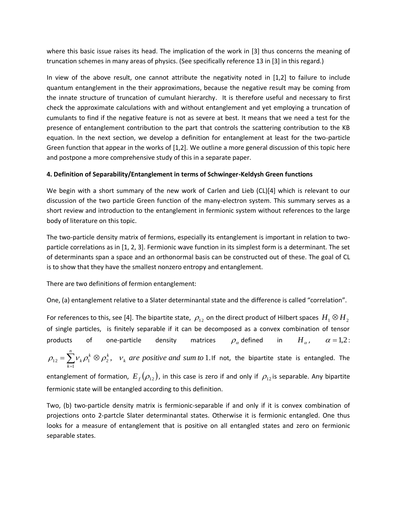where this basic issue raises its head. The implication of the work in [3] thus concerns the meaning of truncation schemes in many areas of physics. (See specifically reference 13 in [3] in this regard.)

In view of the above result, one cannot attribute the negativity noted in [1,2] to failure to include quantum entanglement in the their approximations, because the negative result may be coming from the innate structure of truncation of cumulant hierarchy. It is therefore useful and necessary to first check the approximate calculations with and without entanglement and yet employing a truncation of cumulants to find if the negative feature is not as severe at best. It means that we need a test for the presence of entanglement contribution to the part that controls the scattering contribution to the KB equation. In the next section, we develop a definition for entanglement at least for the two-particle Green function that appear in the works of [1,2]. We outline a more general discussion of this topic here and postpone a more comprehensive study of this in a separate paper.

# **4. Definition of Separability/Entanglement in terms of Schwinger-Keldysh Green functions**

We begin with a short summary of the new work of Carlen and Lieb (CL)[4] which is relevant to our discussion of the two particle Green function of the many-electron system. This summary serves as a short review and introduction to the entanglement in fermionic system without references to the large body of literature on this topic.

The two-particle density matrix of fermions, especially its entanglement is important in relation to twoparticle correlations as in [1, 2, 3]. Fermionic wave function in its simplest form is a determinant. The set of determinants span a space and an orthonormal basis can be constructed out of these. The goal of CL is to show that they have the smallest nonzero entropy and entanglement.

There are two definitions of fermion entanglement:

One, (a) entanglement relative to a Slater determinantal state and the difference is called "correlation".

For references to this, see [4]. The bipartite state,  $\rho_{12}$  on the direct product of Hilbert spaces  $\,H_1^{}\otimes H_2^{}$ of single particles, is finitely separable if it can be decomposed as a convex combination of tensor products of one-particle density  $\rho_{\alpha}$  defined in  $H_{\alpha}$ ,  $\alpha = 1,2$ :  $\mu_1^k \otimes \rho_2^k$ ,  $v_k$  are positive and sum to 1.  $v_{12} = \sum_{k=1}^{n} v_k \rho_1^k \otimes \rho_2^k$ ,  $v_k$  are positive and sum to  $\rho_{12} = \sum_{k=1}^{N} V_k \rho_1^k \otimes \rho_2^k$ , *v* If not, the bipartite state is entangled. The

entanglement of formation,  $E_{_f}(\rho_{_{12}})$ , in this case is zero if and only if  $\rho_{_{12}}$ is separable. Any bipartite fermionic state will be entangled according to this definition.

Two, (b) two-particle density matrix is fermionic-separable if and only if it is convex combination of projections onto 2-partcle Slater determinantal states. Otherwise it is fermionic entangled. One thus looks for a measure of entanglement that is positive on all entangled states and zero on fermionic separable states.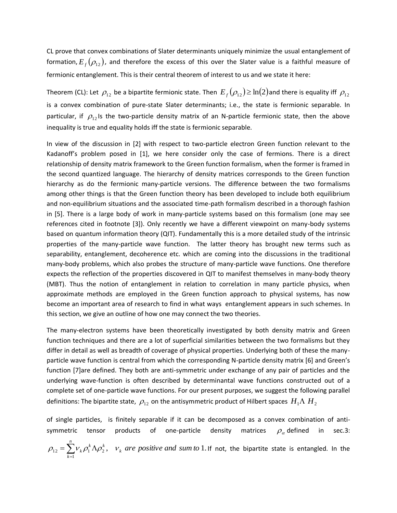CL prove that convex combinations of Slater determinants uniquely minimize the usual entanglement of formation,  $E_{_f}(\rho_{_{12}})$ , and therefore the excess of this over the Slater value is a faithful measure of fermionic entanglement. This is their central theorem of interest to us and we state it here:

Theorem (CL): Let  $\rho_{_{12}}$  be a bipartite fermionic state. Then  $E_{_f}(\rho_{_{12}})\!\geq\!\ln(2)$ and there is equality iff  $\rho_{_{12}}$ is a convex combination of pure-state Slater determinants; i.e., the state is fermionic separable. In particular, if  $\rho_{12}$  is the two-particle density matrix of an N-particle fermionic state, then the above inequality is true and equality holds iff the state is fermionic separable.

In view of the discussion in [2] with respect to two-particle electron Green function relevant to the Kadanoff's problem posed in [1], we here consider only the case of fermions. There is a direct relationship of density matrix framework to the Green function formalism, when the former is framed in the second quantized language. The hierarchy of density matrices corresponds to the Green function hierarchy as do the fermionic many-particle versions. The difference between the two formalisms among other things is that the Green function theory has been developed to include both equilibrium and non-equilibrium situations and the associated time-path formalism described in a thorough fashion in [5]. There is a large body of work in many-particle systems based on this formalism (one may see references cited in footnote [3]). Only recently we have a different viewpoint on many-body systems based on quantum information theory (QIT). Fundamentally this is a more detailed study of the intrinsic properties of the many-particle wave function. The latter theory has brought new terms such as separability, entanglement, decoherence etc. which are coming into the discussions in the traditional many-body problems, which also probes the structure of many-particle wave functions. One therefore expects the reflection of the properties discovered in QIT to manifest themselves in many-body theory (MBT). Thus the notion of entanglement in relation to correlation in many particle physics, when approximate methods are employed in the Green function approach to physical systems, has now become an important area of research to find in what ways entanglement appears in such schemes. In this section, we give an outline of how one may connect the two theories.

The many-electron systems have been theoretically investigated by both density matrix and Green function techniques and there are a lot of superficial similarities between the two formalisms but they differ in detail as well as breadth of coverage of physical properties. Underlying both of these the manyparticle wave function is central from which the corresponding N-particle density matrix [6] and Green's function [7]are defined. They both are anti-symmetric under exchange of any pair of particles and the underlying wave-function is often described by determinantal wave functions constructed out of a complete set of one-particle wave functions. For our present purposes, we suggest the following parallel definitions: The bipartite state,  $\,\rho_{\scriptscriptstyle 12}^{}$  on the antisymmetric product of Hilbert spaces  $\,H_{\scriptscriptstyle 1}\Lambda\,H_{\scriptscriptstyle 2}\,$ 

of single particles, is finitely separable if it can be decomposed as a convex combination of antisymmetric tensor products of one-particle density  $\rho_{\alpha}$  defined in sec.3:

$$
\rho_{12} = \sum_{k=1}^{n} v_k \rho_1^k \Lambda \rho_2^k
$$
,  $v_k$  are positive and sum to 1. If not, the bipartite state is entangled. In the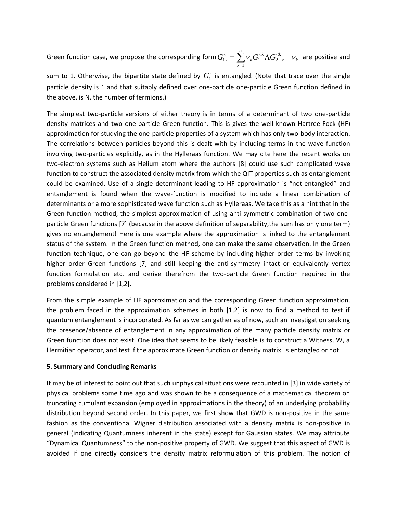Green function case, we propose the corresponding form  $G^<_{12}=\sum V_k G_1^{\ll k} \Lambda G_2^{\ll k},\quad \nu_k$  $\sum_{k}^{n}$  *k*  $\sum_{k}^{k}$   $\sum_{k}^{k}$ *k*  $G_{12}^{\lt}\ = \sum v_k G_1^{\lt k} \Lambda G_2^{\lt k}, \quad \nu$  $V_{12}^{\lt} = \sum_{k=1} V_k G_1^{$ =  $\sum_{k=1}^{k} \sum_{i=1}^{k} \sum_{j=1}^{k} \epsilon_{j,k} C_{k}^{k}$  are positive and

sum to 1. Otherwise, the bipartite state defined by  $G_{12}^<$  is entangled. (Note that trace over the single particle density is 1 and that suitably defined over one-particle one-particle Green function defined in the above, is N, the number of fermions.)

The simplest two-particle versions of either theory is in terms of a determinant of two one-particle density matrices and two one-particle Green function. This is gives the well-known Hartree-Fock (HF) approximation for studying the one-particle properties of a system which has only two-body interaction. The correlations between particles beyond this is dealt with by including terms in the wave function involving two-particles explicitly, as in the Hylleraas function. We may cite here the recent works on two-electron systems such as Helium atom where the authors [8] could use such complicated wave function to construct the associated density matrix from which the QIT properties such as entanglement could be examined. Use of a single determinant leading to HF approximation is "not-entangled" and entanglement is found when the wave-function is modified to include a linear combination of determinants or a more sophisticated wave function such as Hylleraas. We take this as a hint that in the Green function method, the simplest approximation of using anti-symmetric combination of two oneparticle Green functions [7] (because in the above definition of separability,the sum has only one term) gives no entanglement! Here is one example where the approximation is linked to the entanglement status of the system. In the Green function method, one can make the same observation. In the Green function technique, one can go beyond the HF scheme by including higher order terms by invoking higher order Green functions [7] and still keeping the anti-symmetry intact or equivalently vertex function formulation etc. and derive therefrom the two-particle Green function required in the problems considered in [1,2].

From the simple example of HF approximation and the corresponding Green function approximation, the problem faced in the approximation schemes in both [1,2] is now to find a method to test if quantum entanglement is incorporated. As far as we can gather as of now, such an investigation seeking the presence/absence of entanglement in any approximation of the many particle density matrix or Green function does not exist. One idea that seems to be likely feasible is to construct a Witness, W, a Hermitian operator, and test if the approximate Green function or density matrix is entangled or not.

## **5. Summary and Concluding Remarks**

It may be of interest to point out that such unphysical situations were recounted in [3] in wide variety of physical problems some time ago and was shown to be a consequence of a mathematical theorem on truncating cumulant expansion (employed in approximations in the theory) of an underlying probability distribution beyond second order. In this paper, we first show that GWD is non-positive in the same fashion as the conventional Wigner distribution associated with a density matrix is non-positive in general (indicating Quantumness inherent in the state) except for Gaussian states. We may attribute "Dynamical Quantumness" to the non-positive property of GWD. We suggest that this aspect of GWD is avoided if one directly considers the density matrix reformulation of this problem. The notion of